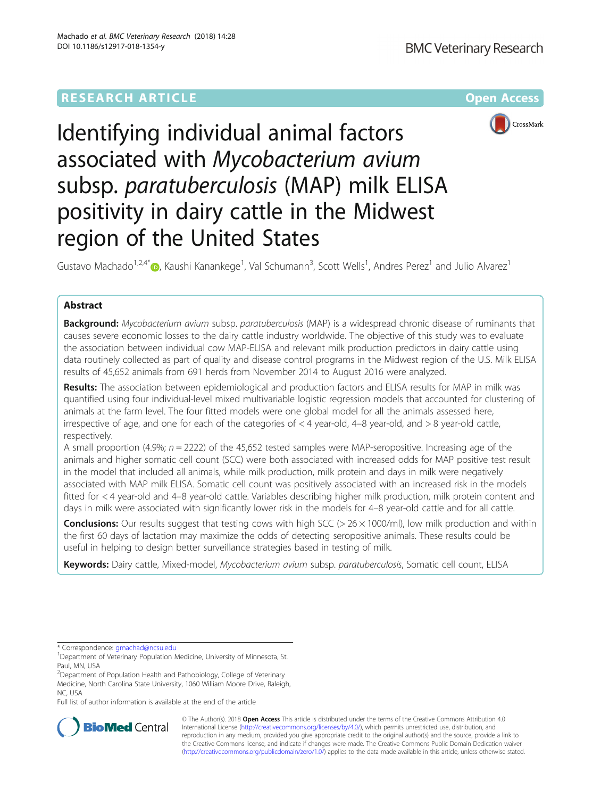# **RESEARCH ARTICLE Example 2014 12:30 The Contract of Contract Article 2014**



# Identifying individual animal factors associated with Mycobacterium avium subsp. paratuberculosis (MAP) milk ELISA positivity in dairy cattle in the Midwest region of the United States

Gustavo Machado<sup>1,2,4[\\*](http://orcid.org/0000-0001-7552-6144)</sup> $\bullet$ , Kaushi Kanankege<sup>1</sup>, Val Schumann<sup>3</sup>, Scott Wells<sup>1</sup>, Andres Perez<sup>1</sup> and Julio Alvarez<sup>1</sup>

# Abstract

Background: Mycobacterium avium subsp. paratuberculosis (MAP) is a widespread chronic disease of ruminants that causes severe economic losses to the dairy cattle industry worldwide. The objective of this study was to evaluate the association between individual cow MAP-ELISA and relevant milk production predictors in dairy cattle using data routinely collected as part of quality and disease control programs in the Midwest region of the U.S. Milk ELISA results of 45,652 animals from 691 herds from November 2014 to August 2016 were analyzed.

Results: The association between epidemiological and production factors and ELISA results for MAP in milk was quantified using four individual-level mixed multivariable logistic regression models that accounted for clustering of animals at the farm level. The four fitted models were one global model for all the animals assessed here, irrespective of age, and one for each of the categories of < 4 year-old, 4–8 year-old, and > 8 year-old cattle, respectively.

A small proportion (4.9%;  $n = 2222$ ) of the 45,652 tested samples were MAP-seropositive. Increasing age of the animals and higher somatic cell count (SCC) were both associated with increased odds for MAP positive test result in the model that included all animals, while milk production, milk protein and days in milk were negatively associated with MAP milk ELISA. Somatic cell count was positively associated with an increased risk in the models fitted for < 4 year-old and 4–8 year-old cattle. Variables describing higher milk production, milk protein content and days in milk were associated with significantly lower risk in the models for 4–8 year-old cattle and for all cattle.

**Conclusions:** Our results suggest that testing cows with high SCC ( $>$  26  $\times$  1000/ml), low milk production and within the first 60 days of lactation may maximize the odds of detecting seropositive animals. These results could be useful in helping to design better surveillance strategies based in testing of milk.

Keywords: Dairy cattle, Mixed-model, Mycobacterium avium subsp. paratuberculosis, Somatic cell count, ELISA

\* Correspondence: [gmachad@ncsu.edu](mailto:gmachad@ncsu.edu) <sup>1</sup>

Full list of author information is available at the end of the article



© The Author(s). 2018 Open Access This article is distributed under the terms of the Creative Commons Attribution 4.0 International License [\(http://creativecommons.org/licenses/by/4.0/](http://creativecommons.org/licenses/by/4.0/)), which permits unrestricted use, distribution, and reproduction in any medium, provided you give appropriate credit to the original author(s) and the source, provide a link to the Creative Commons license, and indicate if changes were made. The Creative Commons Public Domain Dedication waiver [\(http://creativecommons.org/publicdomain/zero/1.0/](http://creativecommons.org/publicdomain/zero/1.0/)) applies to the data made available in this article, unless otherwise stated.

<sup>&</sup>lt;sup>1</sup>Department of Veterinary Population Medicine, University of Minnesota, St. Paul, MN, USA

<sup>&</sup>lt;sup>2</sup>Department of Population Health and Pathobiology, College of Veterinary Medicine, North Carolina State University, 1060 William Moore Drive, Raleigh,

NC, USA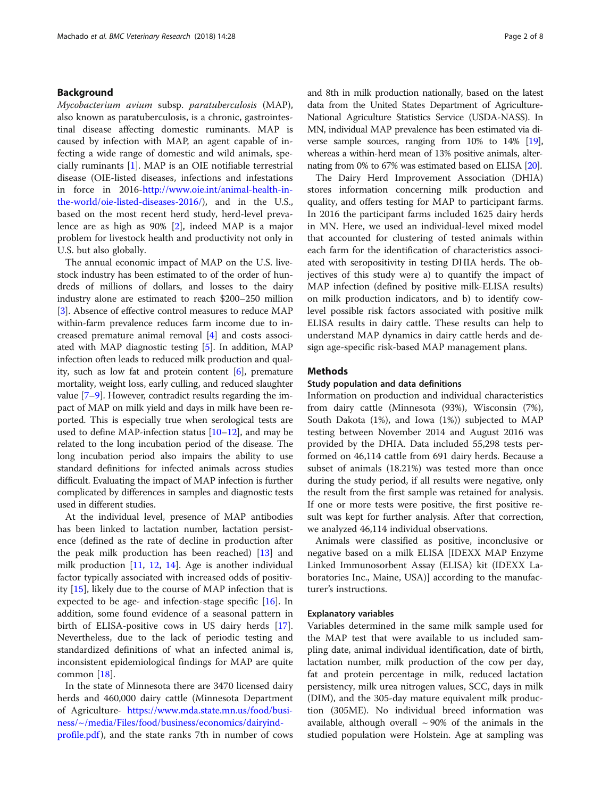# Background

Mycobacterium avium subsp. paratuberculosis (MAP), also known as paratuberculosis, is a chronic, gastrointestinal disease affecting domestic ruminants. MAP is caused by infection with MAP, an agent capable of infecting a wide range of domestic and wild animals, specially ruminants [\[1](#page-7-0)]. MAP is an OIE notifiable terrestrial disease (OIE-listed diseases, infections and infestations in force in 2016[-http://www.oie.int/animal-health-in](http://www.oie.int/animal-health-in-the-world/oie-listed-diseases-2016)[the-world/oie-listed-diseases-2016/](http://www.oie.int/animal-health-in-the-world/oie-listed-diseases-2016)), and in the U.S., based on the most recent herd study, herd-level prevalence are as high as 90% [\[2\]](#page-7-0), indeed MAP is a major problem for livestock health and productivity not only in U.S. but also globally.

The annual economic impact of MAP on the U.S. livestock industry has been estimated to of the order of hundreds of millions of dollars, and losses to the dairy industry alone are estimated to reach \$200–250 million [[3\]](#page-7-0). Absence of effective control measures to reduce MAP within-farm prevalence reduces farm income due to increased premature animal removal [[4\]](#page-7-0) and costs associated with MAP diagnostic testing [\[5](#page-7-0)]. In addition, MAP infection often leads to reduced milk production and quality, such as low fat and protein content  $[6]$  $[6]$ , premature mortality, weight loss, early culling, and reduced slaughter value [\[7](#page-7-0)–[9\]](#page-7-0). However, contradict results regarding the impact of MAP on milk yield and days in milk have been reported. This is especially true when serological tests are used to define MAP-infection status  $[10-12]$  $[10-12]$  $[10-12]$  $[10-12]$ , and may be related to the long incubation period of the disease. The long incubation period also impairs the ability to use standard definitions for infected animals across studies difficult. Evaluating the impact of MAP infection is further complicated by differences in samples and diagnostic tests used in different studies.

At the individual level, presence of MAP antibodies has been linked to lactation number, lactation persistence (defined as the rate of decline in production after the peak milk production has been reached) [[13](#page-7-0)] and milk production [[11,](#page-7-0) [12,](#page-7-0) [14](#page-7-0)]. Age is another individual factor typically associated with increased odds of positivity [\[15\]](#page-7-0), likely due to the course of MAP infection that is expected to be age- and infection-stage specific  $[16]$  $[16]$ . In addition, some found evidence of a seasonal pattern in birth of ELISA-positive cows in US dairy herds [\[17](#page-7-0)]. Nevertheless, due to the lack of periodic testing and standardized definitions of what an infected animal is, inconsistent epidemiological findings for MAP are quite common [\[18](#page-7-0)].

In the state of Minnesota there are 3470 licensed dairy herds and 460,000 dairy cattle (Minnesota Department of Agriculture- [https://www.mda.state.mn.us/food/busi](https://www.mda.state.mn.us/food/business/~/media/Files/food/business/economics/dairyindprofile.pdf)[ness/~/media/Files/food/business/economics/dairyind](https://www.mda.state.mn.us/food/business/~/media/Files/food/business/economics/dairyindprofile.pdf)[profile.pdf](https://www.mda.state.mn.us/food/business/~/media/Files/food/business/economics/dairyindprofile.pdf)), and the state ranks 7th in number of cows and 8th in milk production nationally, based on the latest data from the United States Department of Agriculture-National Agriculture Statistics Service (USDA-NASS). In MN, individual MAP prevalence has been estimated via diverse sample sources, ranging from 10% to 14% [\[19](#page-7-0)], whereas a within-herd mean of 13% positive animals, alternating from 0% to 67% was estimated based on ELISA [\[20](#page-7-0)].

The Dairy Herd Improvement Association (DHIA) stores information concerning milk production and quality, and offers testing for MAP to participant farms. In 2016 the participant farms included 1625 dairy herds in MN. Here, we used an individual-level mixed model that accounted for clustering of tested animals within each farm for the identification of characteristics associated with seropositivity in testing DHIA herds. The objectives of this study were a) to quantify the impact of MAP infection (defined by positive milk-ELISA results) on milk production indicators, and b) to identify cowlevel possible risk factors associated with positive milk ELISA results in dairy cattle. These results can help to understand MAP dynamics in dairy cattle herds and design age-specific risk-based MAP management plans.

# **Methods**

# Study population and data definitions

Information on production and individual characteristics from dairy cattle (Minnesota (93%), Wisconsin (7%), South Dakota (1%), and Iowa (1%)) subjected to MAP testing between November 2014 and August 2016 was provided by the DHIA. Data included 55,298 tests performed on 46,114 cattle from 691 dairy herds. Because a subset of animals (18.21%) was tested more than once during the study period, if all results were negative, only the result from the first sample was retained for analysis. If one or more tests were positive, the first positive result was kept for further analysis. After that correction, we analyzed 46,114 individual observations.

Animals were classified as positive, inconclusive or negative based on a milk ELISA [IDEXX MAP Enzyme Linked Immunosorbent Assay (ELISA) kit (IDEXX Laboratories Inc., Maine, USA)] according to the manufacturer's instructions.

# Explanatory variables

Variables determined in the same milk sample used for the MAP test that were available to us included sampling date, animal individual identification, date of birth, lactation number, milk production of the cow per day, fat and protein percentage in milk, reduced lactation persistency, milk urea nitrogen values, SCC, days in milk (DIM), and the 305-day mature equivalent milk production (305ME). No individual breed information was available, although overall  $\sim$  90% of the animals in the studied population were Holstein. Age at sampling was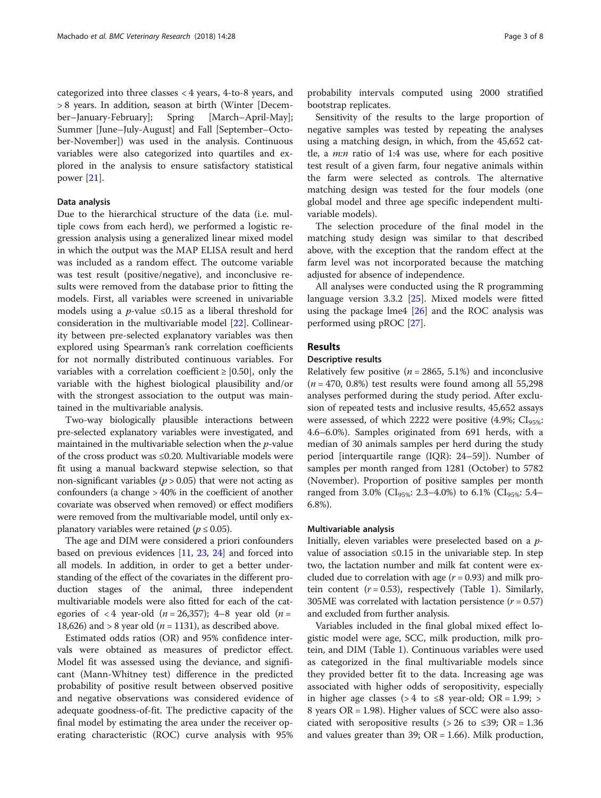categorized into three classes < 4 years, 4-to-8 years, and > 8 years. In addition, season at birth (Winter [December–January-February]; Spring [March–April-May]; Summer [June–July-August] and Fall [September–October-November]) was used in the analysis. Continuous variables were also categorized into quartiles and explored in the analysis to ensure satisfactory statistical power [\[21\]](#page-7-0).

# Data analysis

Due to the hierarchical structure of the data (i.e. multiple cows from each herd), we performed a logistic regression analysis using a generalized linear mixed model in which the output was the MAP ELISA result and herd was included as a random effect. The outcome variable was test result (positive/negative), and inconclusive results were removed from the database prior to fitting the models. First, all variables were screened in univariable models using a *p*-value  $\leq 0.15$  as a liberal threshold for consideration in the multivariable model [\[22](#page-7-0)]. Collinearity between pre-selected explanatory variables was then explored using Spearman's rank correlation coefficients for not normally distributed continuous variables. For variables with a correlation coefficient  $\geq$  [0.50], only the variable with the highest biological plausibility and/or with the strongest association to the output was maintained in the multivariable analysis.

Two-way biologically plausible interactions between pre-selected explanatory variables were investigated, and maintained in the multivariable selection when the p-value of the cross product was ≤0.20. Multivariable models were fit using a manual backward stepwise selection, so that non-significant variables ( $p > 0.05$ ) that were not acting as confounders (a change > 40% in the coefficient of another covariate was observed when removed) or effect modifiers were removed from the multivariable model, until only explanatory variables were retained ( $p \le 0.05$ ).

The age and DIM were considered a priori confounders based on previous evidences [[11,](#page-7-0) [23,](#page-7-0) [24](#page-7-0)] and forced into all models. In addition, in order to get a better understanding of the effect of the covariates in the different production stages of the animal, three independent multivariable models were also fitted for each of the categories of  $\langle 4 \rangle$  year-old  $(n = 26,357)$ ; 4–8 year old  $(n = 16,357)$ 18,626) and > 8 year old ( $n = 1131$ ), as described above.

Estimated odds ratios (OR) and 95% confidence intervals were obtained as measures of predictor effect. Model fit was assessed using the deviance, and significant (Mann-Whitney test) difference in the predicted probability of positive result between observed positive and negative observations was considered evidence of adequate goodness-of-fit. The predictive capacity of the final model by estimating the area under the receiver operating characteristic (ROC) curve analysis with 95%

probability intervals computed using 2000 stratified bootstrap replicates.

Sensitivity of the results to the large proportion of negative samples was tested by repeating the analyses using a matching design, in which, from the 45,652 cattle, a  $m:n$  ratio of 1:4 was use, where for each positive test result of a given farm, four negative animals within the farm were selected as controls. The alternative matching design was tested for the four models (one global model and three age specific independent multivariable models).

The selection procedure of the final model in the matching study design was similar to that described above, with the exception that the random effect at the farm level was not incorporated because the matching adjusted for absence of independence.

All analyses were conducted using the R programming language version 3.3.2 [\[25](#page-7-0)]. Mixed models were fitted using the package lme4  $[26]$  $[26]$  and the ROC analysis was performed using pROC [[27\]](#page-7-0).

# Results

# Descriptive results

Relatively few positive ( $n = 2865, 5.1\%$ ) and inconclusive  $(n = 470, 0.8\%)$  test results were found among all 55,298 analyses performed during the study period. After exclusion of repeated tests and inclusive results, 45,652 assays were assessed, of which 2222 were positive  $(4.9\%; Cl<sub>95\%</sub>;$ 4.6–6.0%). Samples originated from 691 herds, with a median of 30 animals samples per herd during the study period [interquartile range (IQR): 24–59]). Number of samples per month ranged from 1281 (October) to 5782 (November). Proportion of positive samples per month ranged from 3.0% (CI<sub>95%</sub>: 2.3–4.0%) to 6.1% (CI<sub>95%</sub>: 5.4– 6.8%).

### Multivariable analysis

Initially, eleven variables were preselected based on a pvalue of association ≤0.15 in the univariable step. In step two, the lactation number and milk fat content were excluded due to correlation with age  $(r = 0.93)$  and milk protein content  $(r = 0.53)$ , respectively (Table [1\)](#page-3-0). Similarly, 305ME was correlated with lactation persistence  $(r = 0.57)$ and excluded from further analysis.

Variables included in the final global mixed effect logistic model were age, SCC, milk production, milk protein, and DIM (Table [1\)](#page-3-0). Continuous variables were used as categorized in the final multivariable models since they provided better fit to the data. Increasing age was associated with higher odds of seropositivity, especially in higher age classes (> 4 to ≤8 year-old; OR = 1.99; > 8 years OR = 1.98). Higher values of SCC were also associated with seropositive results (> 26 to  $\leq 39$ ; OR = 1.36 and values greater than 39;  $OR = 1.66$ ). Milk production,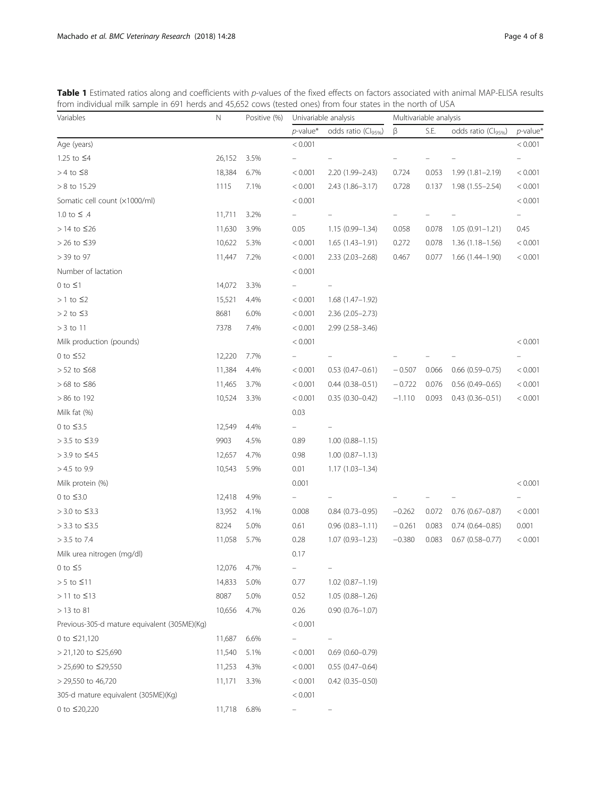<span id="page-3-0"></span>

| from individual milk sample in 691 herds and 45,652 cows (tested ones) from four states in the north of USA                            |  |
|----------------------------------------------------------------------------------------------------------------------------------------|--|
| Table 1 Estimated ratios along and coefficients with p-values of the fixed effects on factors associated with animal MAP-ELISA results |  |

| Variables                                    | N      | Positive (%) | Univariable analysis |                                 | Multivariable analysis |       |                                 |                         |
|----------------------------------------------|--------|--------------|----------------------|---------------------------------|------------------------|-------|---------------------------------|-------------------------|
|                                              |        |              | $p$ -value*          | odds ratio (Cl <sub>95%</sub> ) | β                      | S.E.  | odds ratio (Cl <sub>95%</sub> ) | $p$ -value <sup>*</sup> |
| Age (years)                                  |        |              | < 0.001              |                                 |                        |       |                                 | < 0.001                 |
| 1.25 to ≤4                                   | 26,152 | 3.5%         |                      |                                 |                        |       |                                 |                         |
| $> 4$ to $\leq 8$                            | 18,384 | 6.7%         | < 0.001              | 2.20 (1.99-2.43)                | 0.724                  | 0.053 | 1.99 (1.81-2.19)                | < 0.001                 |
| $> 8$ to 15.29                               | 1115   | 7.1%         | < 0.001              | 2.43 (1.86–3.17)                | 0.728                  | 0.137 | $1.98(1.55 - 2.54)$             | < 0.001                 |
| Somatic cell count (x1000/ml)                |        |              | < 0.001              |                                 |                        |       |                                 | < 0.001                 |
| 1.0 to $\leq$ .4                             | 11,711 | 3.2%         |                      |                                 |                        |       |                                 |                         |
| $>$ 14 to $\leq$ 26                          | 11,630 | 3.9%         | 0.05                 | $1.15(0.99 - 1.34)$             | 0.058                  | 0.078 | $1.05(0.91 - 1.21)$             | 0.45                    |
| > 26 to $≤39$                                | 10,622 | 5.3%         | < 0.001              | $1.65(1.43-1.91)$               | 0.272                  | 0.078 | $1.36(1.18 - 1.56)$             | < 0.001                 |
| > 39 to 97                                   | 11,447 | 7.2%         | < 0.001              | $2.33(2.03 - 2.68)$             | 0.467                  | 0.077 | $1.66(1.44 - 1.90)$             | < 0.001                 |
| Number of lactation                          |        |              | < 0.001              |                                 |                        |       |                                 |                         |
| $0$ to $\leq 1$                              | 14,072 | 3.3%         |                      |                                 |                        |       |                                 |                         |
| $> 1$ to $\leq$ 2                            | 15,521 | 4.4%         | < 0.001              | $1.68(1.47-1.92)$               |                        |       |                                 |                         |
| $> 2$ to $\leq 3$                            | 8681   | 6.0%         | < 0.001              | $2.36(2.05 - 2.73)$             |                        |       |                                 |                         |
| $>$ 3 to 11                                  | 7378   | 7.4%         | < 0.001              | 2.99 (2.58-3.46)                |                        |       |                                 |                         |
| Milk production (pounds)                     |        |              | < 0.001              |                                 |                        |       |                                 | < 0.001                 |
| 0 to $\leq 52$                               | 12,220 | 7.7%         |                      |                                 |                        |       |                                 |                         |
| $> 52$ to $\leq 68$                          | 11,384 | 4.4%         | < 0.001              | $0.53(0.47 - 0.61)$             | $-0.507$               | 0.066 | $0.66$ $(0.59 - 0.75)$          | < 0.001                 |
| > 68 to ≤86                                  | 11,465 | 3.7%         | < 0.001              | $0.44(0.38 - 0.51)$             | $-0.722$               | 0.076 | $0.56(0.49 - 0.65)$             | < 0.001                 |
| $> 86$ to 192                                | 10,524 | 3.3%         | < 0.001              | $0.35(0.30 - 0.42)$             | $-1.110$               | 0.093 | $0.43(0.36 - 0.51)$             | < 0.001                 |
| Milk fat (%)                                 |        |              | 0.03                 |                                 |                        |       |                                 |                         |
| 0 to $\leq$ 3.5                              | 12,549 | 4.4%         |                      |                                 |                        |       |                                 |                         |
| > 3.5 to ≤3.9                                | 9903   | 4.5%         | 0.89                 | $1.00(0.88 - 1.15)$             |                        |       |                                 |                         |
| > 3.9 to ≤4.5                                | 12,657 | 4.7%         | 0.98                 | $1.00(0.87 - 1.13)$             |                        |       |                                 |                         |
| $> 4.5$ to 9.9                               | 10,543 | 5.9%         | 0.01                 | $1.17(1.03 - 1.34)$             |                        |       |                                 |                         |
| Milk protein (%)                             |        |              | 0.001                |                                 |                        |       |                                 | < 0.001                 |
| 0 to $\leq$ 3.0                              | 12,418 | 4.9%         |                      |                                 |                        |       |                                 |                         |
| > 3.0 to ≤3.3                                | 13,952 | 4.1%         | 0.008                | $0.84$ (0.73-0.95)              | $-0.262$               | 0.072 | $0.76$ (0.67-0.87)              | < 0.001                 |
| > 3.3 to ≤3.5                                | 8224   | 5.0%         | 0.61                 | $0.96(0.83 - 1.11)$             | $-0.261$               | 0.083 | $0.74(0.64 - 0.85)$             | 0.001                   |
| $> 3.5$ to 7.4                               | 11,058 | 5.7%         | 0.28                 | $1.07(0.93 - 1.23)$             | $-0.380$               | 0.083 | $0.67$ $(0.58 - 0.77)$          | < 0.001                 |
| Milk urea nitrogen (mg/dl)                   |        |              | 0.17                 |                                 |                        |       |                                 |                         |
| 0 to $\leq$ 5                                | 12,076 | 4.7%         |                      |                                 |                        |       |                                 |                         |
| $> 5$ to $\leq 11$                           | 14,833 | 5.0%         | 0.77                 | $1.02$ $(0.87 - 1.19)$          |                        |       |                                 |                         |
| $>$ 11 to $\leq$ 13                          | 8087   | 5.0%         | 0.52                 | $1.05(0.88 - 1.26)$             |                        |       |                                 |                         |
| $>$ 13 to 81                                 | 10,656 | 4.7%         | 0.26                 | $0.90(0.76 - 1.07)$             |                        |       |                                 |                         |
| Previous-305-d mature equivalent (305ME)(Kg) |        |              | < 0.001              |                                 |                        |       |                                 |                         |
| 0 to ≤21,120                                 | 11,687 | 6.6%         |                      |                                 |                        |       |                                 |                         |
| > 21,120 to ≤25,690                          | 11,540 | 5.1%         | < 0.001              | $0.69(0.60 - 0.79)$             |                        |       |                                 |                         |
| > 25,690 to ≤29,550                          | 11,253 | 4.3%         | < 0.001              | $0.55(0.47-0.64)$               |                        |       |                                 |                         |
| > 29,550 to 46,720                           | 11,171 | 3.3%         | < 0.001              | $0.42(0.35 - 0.50)$             |                        |       |                                 |                         |
| 305-d mature equivalent (305ME)(Kg)          |        |              | < 0.001              |                                 |                        |       |                                 |                         |
| 0 to ≤20,220                                 | 11,718 | 6.8%         |                      |                                 |                        |       |                                 |                         |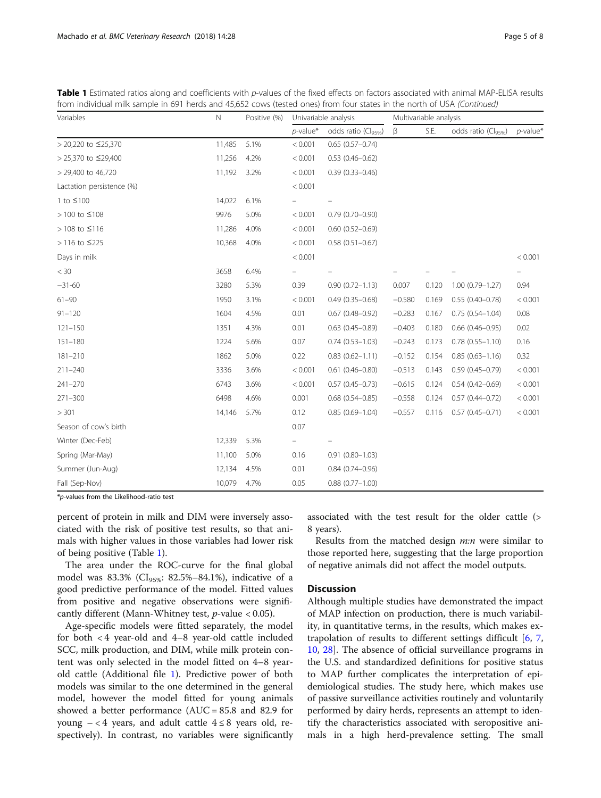| Variables                 | $\mathbb N$ | Positive (%) | Univariable analysis |                                 | Multivariable analysis |       |                                 |             |
|---------------------------|-------------|--------------|----------------------|---------------------------------|------------------------|-------|---------------------------------|-------------|
|                           |             |              | $p$ -value*          | odds ratio (Cl <sub>95%</sub> ) | β                      | S.E.  | odds ratio (Cl <sub>95%</sub> ) | $p$ -value* |
| > 20,220 to ≤25,370       | 11,485      | 5.1%         | < 0.001              | $0.65(0.57-0.74)$               |                        |       |                                 |             |
| > 25,370 to ≤29,400       | 11,256      | 4.2%         | < 0.001              | $0.53$ $(0.46 - 0.62)$          |                        |       |                                 |             |
| > 29,400 to 46,720        | 11,192      | 3.2%         | < 0.001              | $0.39(0.33 - 0.46)$             |                        |       |                                 |             |
| Lactation persistence (%) |             |              | < 0.001              |                                 |                        |       |                                 |             |
| 1 to ≤100                 | 14,022      | 6.1%         |                      |                                 |                        |       |                                 |             |
| > 100 to ≤108             | 9976        | 5.0%         | < 0.001              | $0.79(0.70 - 0.90)$             |                        |       |                                 |             |
| > 108 to ≤116             | 11,286      | 4.0%         | < 0.001              | $0.60$ $(0.52 - 0.69)$          |                        |       |                                 |             |
| > 116 to ≤225             | 10,368      | 4.0%         | < 0.001              | $0.58(0.51 - 0.67)$             |                        |       |                                 |             |
| Days in milk              |             |              | < 0.001              |                                 |                        |       |                                 | < 0.001     |
| $<$ 30                    | 3658        | 6.4%         |                      |                                 |                        |       |                                 |             |
| $-31-60$                  | 3280        | 5.3%         | 0.39                 | $0.90(0.72 - 1.13)$             | 0.007                  | 0.120 | $1.00(0.79 - 1.27)$             | 0.94        |
| $61 - 90$                 | 1950        | 3.1%         | < 0.001              | $0.49(0.35 - 0.68)$             | $-0.580$               | 0.169 | $0.55(0.40 - 0.78)$             | < 0.001     |
| $91 - 120$                | 1604        | 4.5%         | 0.01                 | $0.67(0.48 - 0.92)$             | $-0.283$               | 0.167 | $0.75(0.54 - 1.04)$             | 0.08        |
| $121 - 150$               | 1351        | 4.3%         | 0.01                 | $0.63$ $(0.45 - 0.89)$          | $-0.403$               | 0.180 | $0.66$ $(0.46 - 0.95)$          | 0.02        |
| $151 - 180$               | 1224        | 5.6%         | 0.07                 | $0.74(0.53 - 1.03)$             | $-0.243$               | 0.173 | $0.78(0.55 - 1.10)$             | 0.16        |
| $181 - 210$               | 1862        | 5.0%         | 0.22                 | $0.83(0.62 - 1.11)$             | $-0.152$               | 0.154 | $0.85(0.63 - 1.16)$             | 0.32        |
| $211 - 240$               | 3336        | 3.6%         | < 0.001              | $0.61$ $(0.46 - 0.80)$          | $-0.513$               | 0.143 | $0.59(0.45 - 0.79)$             | < 0.001     |
| $241 - 270$               | 6743        | 3.6%         | < 0.001              | $0.57(0.45 - 0.73)$             | $-0.615$               | 0.124 | $0.54(0.42 - 0.69)$             | < 0.001     |
| $271 - 300$               | 6498        | 4.6%         | 0.001                | $0.68$ $(0.54 - 0.85)$          | $-0.558$               | 0.124 | $0.57(0.44 - 0.72)$             | < 0.001     |
| > 301                     | 14,146      | 5.7%         | 0.12                 | $0.85(0.69 - 1.04)$             | $-0.557$               | 0.116 | $0.57(0.45 - 0.71)$             | < 0.001     |
| Season of cow's birth     |             |              | 0.07                 |                                 |                        |       |                                 |             |
| Winter (Dec-Feb)          | 12,339      | 5.3%         | -                    |                                 |                        |       |                                 |             |
| Spring (Mar-May)          | 11,100      | 5.0%         | 0.16                 | $0.91(0.80 - 1.03)$             |                        |       |                                 |             |
| Summer (Jun-Aug)          | 12,134      | 4.5%         | 0.01                 | $0.84(0.74 - 0.96)$             |                        |       |                                 |             |
| Fall (Sep-Nov)            | 10,079      | 4.7%         | 0.05                 | $0.88(0.77 - 1.00)$             |                        |       |                                 |             |

Table 1 Estimated ratios along and coefficients with p-values of the fixed effects on factors associated with animal MAP-ELISA results from individual milk sample in 691 herds and 45,652 cows (tested ones) from four states in the north of USA (Continued)

\*p-values from the Likelihood-ratio test

percent of protein in milk and DIM were inversely associated with the risk of positive test results, so that animals with higher values in those variables had lower risk of being positive (Table [1](#page-3-0)).

The area under the ROC-curve for the final global model was 83.3% (CI<sub>95%</sub>: 82.5%–84.1%), indicative of a good predictive performance of the model. Fitted values from positive and negative observations were significantly different (Mann-Whitney test,  $p$ -value < 0.05).

Age-specific models were fitted separately, the model for both < 4 year-old and 4–8 year-old cattle included SCC, milk production, and DIM, while milk protein content was only selected in the model fitted on 4–8 yearold cattle (Additional file [1\)](#page-6-0). Predictive power of both models was similar to the one determined in the general model, however the model fitted for young animals showed a better performance (AUC = 85.8 and 82.9 for young  $-\langle 4 \rangle$  years, and adult cattle  $4 \leq 8$  years old, respectively). In contrast, no variables were significantly associated with the test result for the older cattle (> 8 years).

Results from the matched design *m:n* were similar to those reported here, suggesting that the large proportion of negative animals did not affect the model outputs.

# **Discussion**

Although multiple studies have demonstrated the impact of MAP infection on production, there is much variability, in quantitative terms, in the results, which makes extrapolation of results to different settings difficult [\[6](#page-7-0), [7](#page-7-0), [10,](#page-7-0) [28](#page-7-0)]. The absence of official surveillance programs in the U.S. and standardized definitions for positive status to MAP further complicates the interpretation of epidemiological studies. The study here, which makes use of passive surveillance activities routinely and voluntarily performed by dairy herds, represents an attempt to identify the characteristics associated with seropositive animals in a high herd-prevalence setting. The small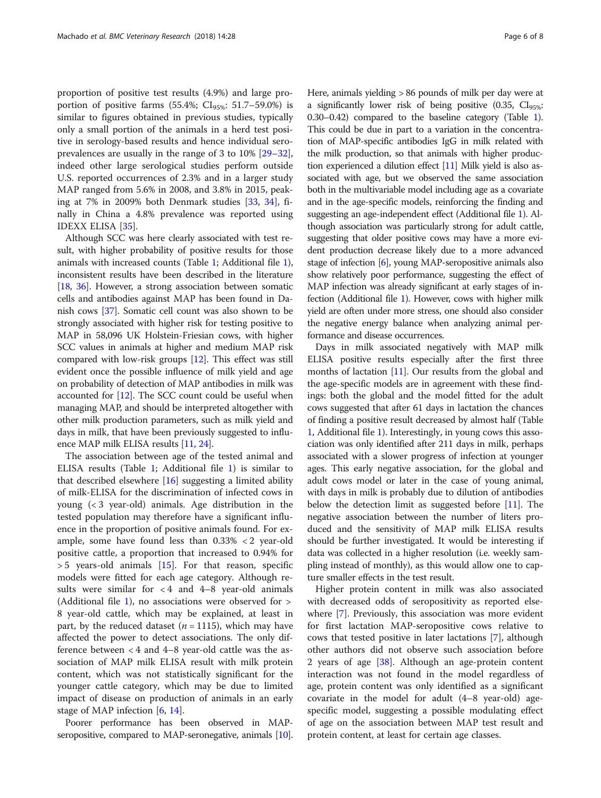proportion of positive test results (4.9%) and large proportion of positive farms (55.4%;  $CI_{95\%}$ : 51.7–59.0%) is similar to figures obtained in previous studies, typically only a small portion of the animals in a herd test positive in serology-based results and hence individual seroprevalences are usually in the range of 3 to 10% [[29](#page-7-0)–[32](#page-7-0)], indeed other large serological studies perform outside U.S. reported occurrences of 2.3% and in a larger study MAP ranged from 5.6% in 2008, and 3.8% in 2015, peaking at 7% in 2009% both Denmark studies [[33,](#page-7-0) [34\]](#page-7-0), finally in China a 4.8% prevalence was reported using IDEXX ELISA [[35](#page-7-0)].

Although SCC was here clearly associated with test result, with higher probability of positive results for those animals with increased counts (Table [1;](#page-3-0) Additional file [1](#page-6-0)), inconsistent results have been described in the literature [[18](#page-7-0), [36](#page-7-0)]. However, a strong association between somatic cells and antibodies against MAP has been found in Danish cows [[37](#page-7-0)]. Somatic cell count was also shown to be strongly associated with higher risk for testing positive to MAP in 58,096 UK Holstein-Friesian cows, with higher SCC values in animals at higher and medium MAP risk compared with low-risk groups [\[12\]](#page-7-0). This effect was still evident once the possible influence of milk yield and age on probability of detection of MAP antibodies in milk was accounted for [[12](#page-7-0)]. The SCC count could be useful when managing MAP, and should be interpreted altogether with other milk production parameters, such as milk yield and days in milk, that have been previously suggested to influence MAP milk ELISA results [[11](#page-7-0), [24\]](#page-7-0).

The association between age of the tested animal and ELISA results (Table [1](#page-3-0); Additional file [1\)](#page-6-0) is similar to that described elsewhere [\[16](#page-7-0)] suggesting a limited ability of milk-ELISA for the discrimination of infected cows in young (< 3 year-old) animals. Age distribution in the tested population may therefore have a significant influence in the proportion of positive animals found. For example, some have found less than 0.33% < 2 year-old positive cattle, a proportion that increased to 0.94% for  $>$  5 years-old animals [\[15\]](#page-7-0). For that reason, specific models were fitted for each age category. Although results were similar for  $<$  4 and 4–8 year-old animals (Additional file [1](#page-6-0)), no associations were observed for > 8 year-old cattle, which may be explained, at least in part, by the reduced dataset ( $n = 1115$ ), which may have affected the power to detect associations. The only difference between < 4 and 4–8 year-old cattle was the association of MAP milk ELISA result with milk protein content, which was not statistically significant for the younger cattle category, which may be due to limited impact of disease on production of animals in an early stage of MAP infection [[6,](#page-7-0) [14\]](#page-7-0).

Poorer performance has been observed in MAPseropositive, compared to MAP-seronegative, animals [\[10](#page-7-0)]. Here, animals yielding > 86 pounds of milk per day were at a significantly lower risk of being positive  $(0.35, Cl<sub>95%</sub>;$ 0.30–0.42) compared to the baseline category (Table [1](#page-3-0)). This could be due in part to a variation in the concentration of MAP-specific antibodies IgG in milk related with the milk production, so that animals with higher production experienced a dilution effect [\[11\]](#page-7-0) Milk yield is also associated with age, but we observed the same association both in the multivariable model including age as a covariate and in the age-specific models, reinforcing the finding and suggesting an age-independent effect (Additional file [1](#page-6-0)). Although association was particularly strong for adult cattle, suggesting that older positive cows may have a more evident production decrease likely due to a more advanced stage of infection [[6](#page-7-0)], young MAP-seropositive animals also show relatively poor performance, suggesting the effect of MAP infection was already significant at early stages of infection (Additional file [1\)](#page-6-0). However, cows with higher milk yield are often under more stress, one should also consider the negative energy balance when analyzing animal performance and disease occurrences.

Days in milk associated negatively with MAP milk ELISA positive results especially after the first three months of lactation  $[11]$  $[11]$ . Our results from the global and the age-specific models are in agreement with these findings: both the global and the model fitted for the adult cows suggested that after 61 days in lactation the chances of finding a positive result decreased by almost half (Table [1,](#page-3-0) Additional file [1\)](#page-6-0). Interestingly, in young cows this association was only identified after 211 days in milk, perhaps associated with a slower progress of infection at younger ages. This early negative association, for the global and adult cows model or later in the case of young animal, with days in milk is probably due to dilution of antibodies below the detection limit as suggested before  $[11]$ . The negative association between the number of liters produced and the sensitivity of MAP milk ELISA results should be further investigated. It would be interesting if data was collected in a higher resolution (i.e. weekly sampling instead of monthly), as this would allow one to capture smaller effects in the test result.

Higher protein content in milk was also associated with decreased odds of seropositivity as reported elsewhere [\[7](#page-7-0)]. Previously, this association was more evident for first lactation MAP-seropositive cows relative to cows that tested positive in later lactations [[7\]](#page-7-0), although other authors did not observe such association before 2 years of age [\[38](#page-7-0)]. Although an age-protein content interaction was not found in the model regardless of age, protein content was only identified as a significant covariate in the model for adult (4–8 year-old) agespecific model, suggesting a possible modulating effect of age on the association between MAP test result and protein content, at least for certain age classes.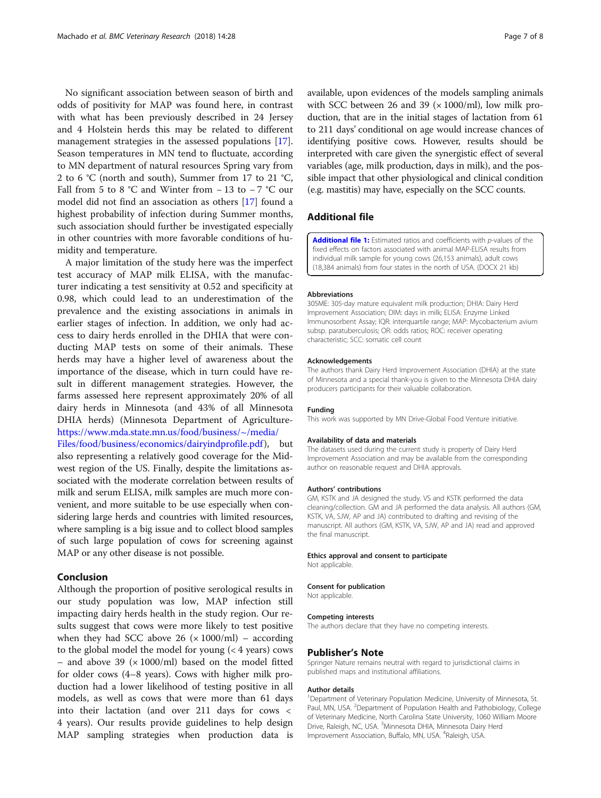<span id="page-6-0"></span>No significant association between season of birth and odds of positivity for MAP was found here, in contrast with what has been previously described in 24 Jersey and 4 Holstein herds this may be related to different management strategies in the assessed populations [\[17](#page-7-0)]. Season temperatures in MN tend to fluctuate, according to MN department of natural resources Spring vary from 2 to 6 °C (north and south), Summer from 17 to 21 °C, Fall from 5 to 8 °C and Winter from  $-13$  to  $-7$  °C our model did not find an association as others [[17\]](#page-7-0) found a highest probability of infection during Summer months, such association should further be investigated especially in other countries with more favorable conditions of humidity and temperature.

A major limitation of the study here was the imperfect test accuracy of MAP milk ELISA, with the manufacturer indicating a test sensitivity at 0.52 and specificity at 0.98, which could lead to an underestimation of the prevalence and the existing associations in animals in earlier stages of infection. In addition, we only had access to dairy herds enrolled in the DHIA that were conducting MAP tests on some of their animals. These herds may have a higher level of awareness about the importance of the disease, which in turn could have result in different management strategies. However, the farms assessed here represent approximately 20% of all dairy herds in Minnesota (and 43% of all Minnesota DHIA herds) (Minnesota Department of Agriculture[https://www.mda.state.mn.us/food/business/~/media/](https://www.mda.state.mn.us/food/business/~/media/Files/food/business/economics/dairyindprofile.pdf) [Files/food/business/economics/dairyindprofile.pdf](https://www.mda.state.mn.us/food/business/~/media/Files/food/business/economics/dairyindprofile.pdf)), but also representing a relatively good coverage for the Midwest region of the US. Finally, despite the limitations associated with the moderate correlation between results of milk and serum ELISA, milk samples are much more convenient, and more suitable to be use especially when con-

sidering large herds and countries with limited resources, where sampling is a big issue and to collect blood samples of such large population of cows for screening against MAP or any other disease is not possible.

# Conclusion

Although the proportion of positive serological results in our study population was low, MAP infection still impacting dairy herds health in the study region. Our results suggest that cows were more likely to test positive when they had SCC above 26  $(x 1000/ml)$  – according to the global model the model for young  $(< 4$  years) cows – and above 39 ( $\times$  1000/ml) based on the model fitted for older cows (4–8 years). Cows with higher milk production had a lower likelihood of testing positive in all models, as well as cows that were more than 61 days into their lactation (and over 211 days for cows < 4 years). Our results provide guidelines to help design MAP sampling strategies when production data is

available, upon evidences of the models sampling animals with SCC between 26 and 39 ( $\times$  1000/ml), low milk production, that are in the initial stages of lactation from 61 to 211 days' conditional on age would increase chances of identifying positive cows. However, results should be interpreted with care given the synergistic effect of several variables (age, milk production, days in milk), and the possible impact that other physiological and clinical condition (e.g. mastitis) may have, especially on the SCC counts.

# Additional file

[Additional file 1:](dx.doi.org/10.1186/s12917-018-1354-y) Estimated ratios and coefficients with p-values of the fixed effects on factors associated with animal MAP-ELISA results from individual milk sample for young cows (26,153 animals), adult cows (18,384 animals) from four states in the north of USA. (DOCX 21 kb)

#### Abbreviations

305ME: 305-day mature equivalent milk production; DHIA: Dairy Herd Improvement Association; DIM: days in milk; ELISA: Enzyme Linked Immunosorbent Assay; IQR: interquartile range; MAP: Mycobacterium avium subsp. paratuberculosis; OR: odds ratios; ROC: receiver operating characteristic; SCC: somatic cell count

#### Acknowledgements

The authors thank Dairy Herd Improvement Association (DHIA) at the state of Minnesota and a special thank-you is given to the Minnesota DHIA dairy producers participants for their valuable collaboration.

# Funding

This work was supported by MN Drive-Global Food Venture initiative.

#### Availability of data and materials

The datasets used during the current study is property of Dairy Herd Improvement Association and may be available from the corresponding author on reasonable request and DHIA approvals.

#### Authors' contributions

GM, KSTK and JA designed the study. VS and KSTK performed the data cleaning/collection. GM and JA performed the data analysis. All authors (GM, KSTK, VA, SJW, AP and JA) contributed to drafting and revising of the manuscript. All authors (GM, KSTK, VA, SJW, AP and JA) read and approved the final manuscript.

#### Ethics approval and consent to participate

Not applicable.

#### Consent for publication

Not applicable.

#### Competing interests

The authors declare that they have no competing interests.

# Publisher's Note

Springer Nature remains neutral with regard to jurisdictional claims in published maps and institutional affiliations.

#### Author details

<sup>1</sup>Department of Veterinary Population Medicine, University of Minnesota, St Paul, MN, USA. <sup>2</sup>Department of Population Health and Pathobiology, College of Veterinary Medicine, North Carolina State University, 1060 William Moore Drive, Raleigh, NC, USA. <sup>3</sup>Minnesota DHIA, Minnesota Dairy Herd Improvement Association, Buffalo, MN, USA. <sup>4</sup>Raleigh, USA